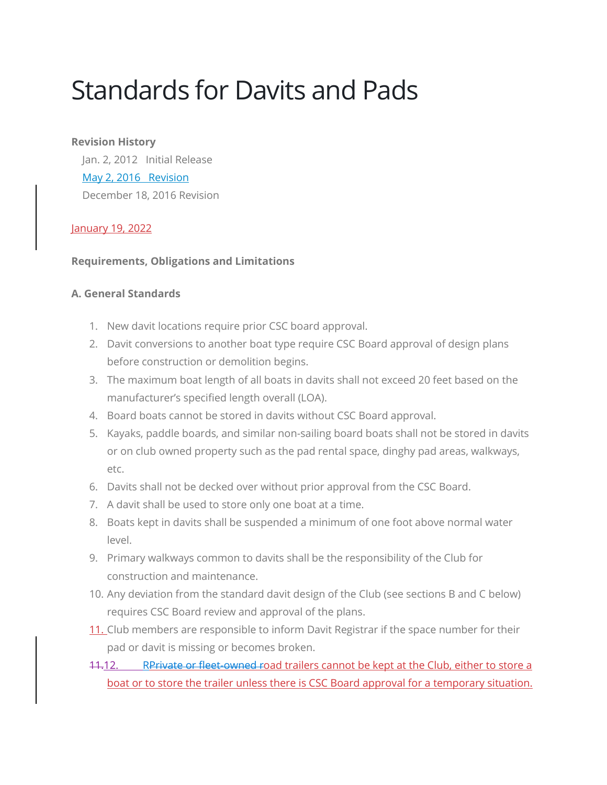# Standards for Davits and Pads

## **Revision History**

 Jan. 2, 2012 Initial Release [May 2, 2016](https://cscsailing.org/sites/default/files/media/files/policies-revision-5-2-2016.pdf) Revision December 18, 2016 Revision

## January 19, 2022

## **Requirements, Obligations and Limitations**

## **A. General Standards**

- 1. New davit locations require prior CSC board approval.
- 2. Davit conversions to another boat type require CSC Board approval of design plans before construction or demolition begins.
- 3. The maximum boat length of all boats in davits shall not exceed 20 feet based on the manufacturer's specified length overall (LOA).
- 4. Board boats cannot be stored in davits without CSC Board approval.
- 5. Kayaks, paddle boards, and similar non-sailing board boats shall not be stored in davits or on club owned property such as the pad rental space, dinghy pad areas, walkways, etc.
- 6. Davits shall not be decked over without prior approval from the CSC Board.
- 7. A davit shall be used to store only one boat at a time.
- 8. Boats kept in davits shall be suspended a minimum of one foot above normal water level.
- 9. Primary walkways common to davits shall be the responsibility of the Club for construction and maintenance.
- 10. Any deviation from the standard davit design of the Club (see sections B and C below) requires CSC Board review and approval of the plans.
- 11. Club members are responsible to inform Davit Registrar if the space number for their pad or davit is missing or becomes broken.
- 11.12. Reprivate or fleet-owned road trailers cannot be kept at the Club, either to store a boat or to store the trailer unless there is CSC Board approval for a temporary situation.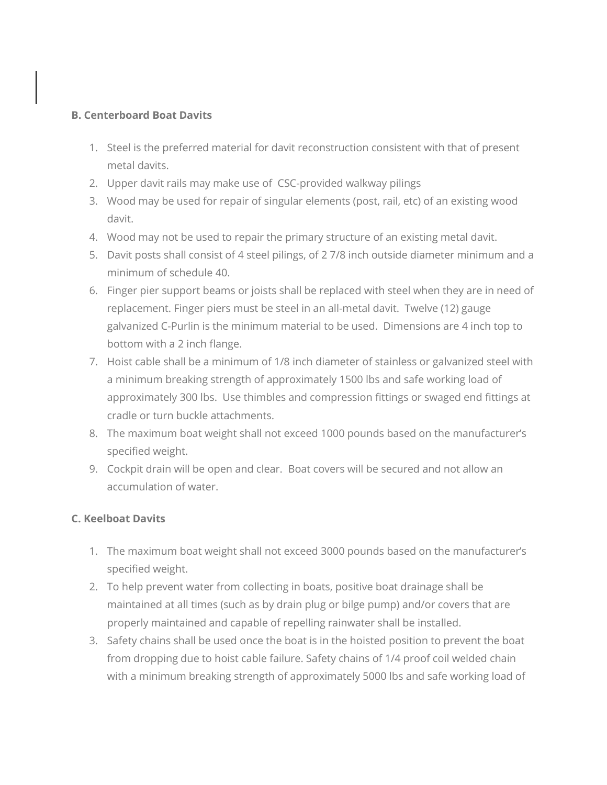## **B. Centerboard Boat Davits**

- 1. Steel is the preferred material for davit reconstruction consistent with that of present metal davits.
- 2. Upper davit rails may make use of CSC-provided walkway pilings
- 3. Wood may be used for repair of singular elements (post, rail, etc) of an existing wood davit.
- 4. Wood may not be used to repair the primary structure of an existing metal davit.
- 5. Davit posts shall consist of 4 steel pilings, of 2 7/8 inch outside diameter minimum and a minimum of schedule 40.
- 6. Finger pier support beams or joists shall be replaced with steel when they are in need of replacement. Finger piers must be steel in an all-metal davit. Twelve (12) gauge galvanized C-Purlin is the minimum material to be used. Dimensions are 4 inch top to bottom with a 2 inch flange.
- 7. Hoist cable shall be a minimum of 1/8 inch diameter of stainless or galvanized steel with a minimum breaking strength of approximately 1500 lbs and safe working load of approximately 300 lbs. Use thimbles and compression fittings or swaged end fittings at cradle or turn buckle attachments.
- 8. The maximum boat weight shall not exceed 1000 pounds based on the manufacturer's specified weight.
- 9. Cockpit drain will be open and clear. Boat covers will be secured and not allow an accumulation of water.

## **C. Keelboat Davits**

- 1. The maximum boat weight shall not exceed 3000 pounds based on the manufacturer's specified weight.
- 2. To help prevent water from collecting in boats, positive boat drainage shall be maintained at all times (such as by drain plug or bilge pump) and/or covers that are properly maintained and capable of repelling rainwater shall be installed.
- 3. Safety chains shall be used once the boat is in the hoisted position to prevent the boat from dropping due to hoist cable failure. Safety chains of 1/4 proof coil welded chain with a minimum breaking strength of approximately 5000 lbs and safe working load of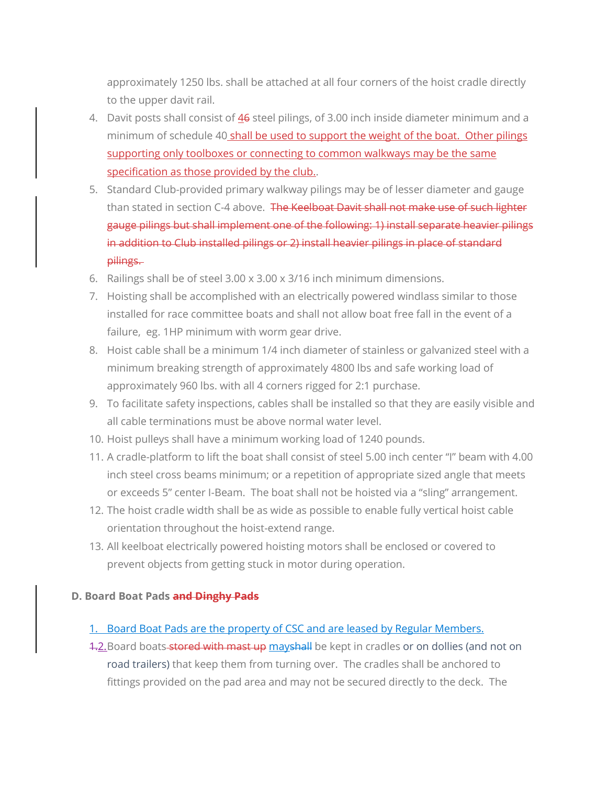approximately 1250 lbs. shall be attached at all four corners of the hoist cradle directly to the upper davit rail.

- 4. Davit posts shall consist of 46 steel pilings, of 3.00 inch inside diameter minimum and a minimum of schedule 40 shall be used to support the weight of the boat. Other pilings supporting only toolboxes or connecting to common walkways may be the same specification as those provided by the club..
- 5. Standard Club-provided primary walkway pilings may be of lesser diameter and gauge than stated in section C-4 above. The Keelboat Davit shall not make use of such lighter gauge pilings but shall implement one of the following: 1) install separate heavier pilings in addition to Club installed pilings or 2) install heavier pilings in place of standard pilings.
- 6. Railings shall be of steel 3.00 x 3.00 x 3/16 inch minimum dimensions.
- 7. Hoisting shall be accomplished with an electrically powered windlass similar to those installed for race committee boats and shall not allow boat free fall in the event of a failure, eg. 1HP minimum with worm gear drive.
- 8. Hoist cable shall be a minimum 1/4 inch diameter of stainless or galvanized steel with a minimum breaking strength of approximately 4800 lbs and safe working load of approximately 960 lbs. with all 4 corners rigged for 2:1 purchase.
- 9. To facilitate safety inspections, cables shall be installed so that they are easily visible and all cable terminations must be above normal water level.
- 10. Hoist pulleys shall have a minimum working load of 1240 pounds.
- 11. A cradle-platform to lift the boat shall consist of steel 5.00 inch center "I" beam with 4.00 inch steel cross beams minimum; or a repetition of appropriate sized angle that meets or exceeds 5" center I-Beam. The boat shall not be hoisted via a "sling" arrangement.
- 12. The hoist cradle width shall be as wide as possible to enable fully vertical hoist cable orientation throughout the hoist-extend range.
- 13. All keelboat electrically powered hoisting motors shall be enclosed or covered to prevent objects from getting stuck in motor during operation.

#### **D. Board Boat Pads and Dinghy Pads**

#### 1. Board Boat Pads are the property of CSC and are leased by Regular Members.

4.2. Board boats stored with mast up mayshall be kept in cradles or on dollies (and not on road trailers) that keep them from turning over. The cradles shall be anchored to fittings provided on the pad area and may not be secured directly to the deck. The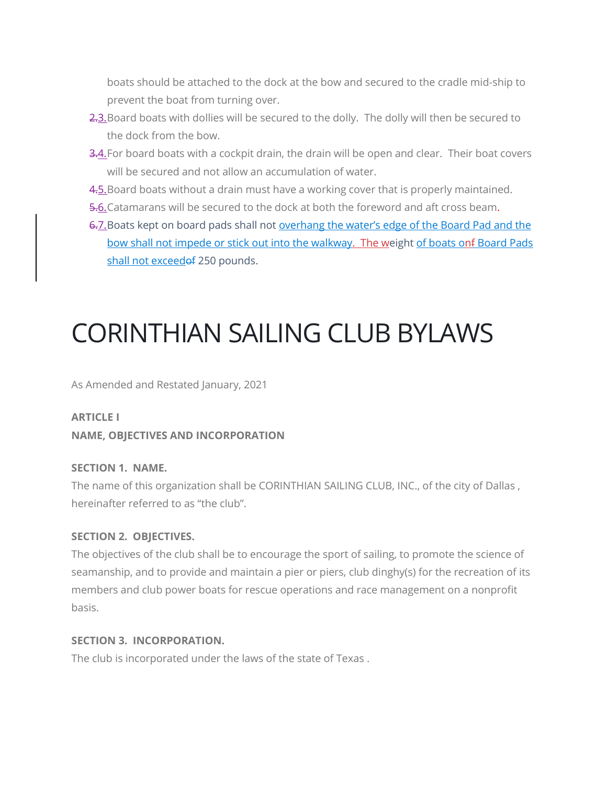boats should be attached to the dock at the bow and secured to the cradle mid-ship to prevent the boat from turning over.

- 2.3. Board boats with dollies will be secured to the dolly. The dolly will then be secured to the dock from the bow.
- 3.4. For board boats with a cockpit drain, the drain will be open and clear. Their boat covers will be secured and not allow an accumulation of water.
- 4.5. Board boats without a drain must have a working cover that is properly maintained.
- 5.6.Catamarans will be secured to the dock at both the foreword and aft cross beam.
- 6.7.Boats kept on board pads shall not overhang the water's edge of the Board Pad and the bow shall not impede or stick out into the walkway. The weight of boats onf Board Pads shall not exceedof 250 pounds.

# CORINTHIAN SAILING CLUB BYLAWS

As Amended and Restated January, 2021

# **ARTICLE I NAME, OBJECTIVES AND INCORPORATION**

## **SECTION 1. NAME.**

The name of this organization shall be CORINTHIAN SAILING CLUB, INC., of the city of Dallas , hereinafter referred to as "the club".

## **SECTION 2. OBJECTIVES.**

The objectives of the club shall be to encourage the sport of sailing, to promote the science of seamanship, and to provide and maintain a pier or piers, club dinghy(s) for the recreation of its members and club power boats for rescue operations and race management on a nonprofit basis.

## **SECTION 3. INCORPORATION.**

The club is incorporated under the laws of the state of Texas .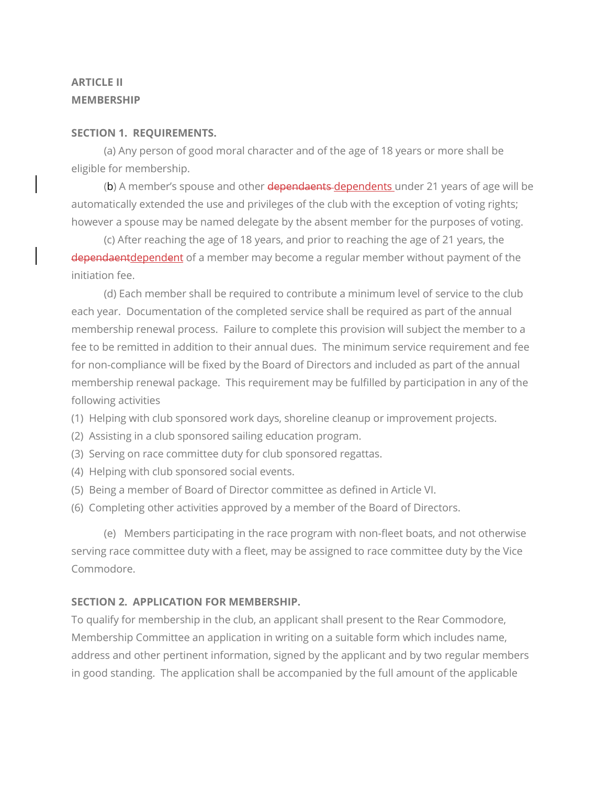## **ARTICLE II MEMBERSHIP**

#### **SECTION 1. REQUIREMENTS.**

 (a) Any person of good moral character and of the age of 18 years or more shall be eligible for membership.

(b) A member's spouse and other dependaents dependents under 21 years of age will be automatically extended the use and privileges of the club with the exception of voting rights; however a spouse may be named delegate by the absent member for the purposes of voting.

 (c) After reaching the age of 18 years, and prior to reaching the age of 21 years, the dependaentdependent of a member may become a regular member without payment of the initiation fee.

 (d) Each member shall be required to contribute a minimum level of service to the club each year. Documentation of the completed service shall be required as part of the annual membership renewal process. Failure to complete this provision will subject the member to a fee to be remitted in addition to their annual dues. The minimum service requirement and fee for non-compliance will be fixed by the Board of Directors and included as part of the annual membership renewal package. This requirement may be fulfilled by participation in any of the following activities

(1) Helping with club sponsored work days, shoreline cleanup or improvement projects.

- (2) Assisting in a club sponsored sailing education program.
- (3) Serving on race committee duty for club sponsored regattas.
- (4) Helping with club sponsored social events.
- (5) Being a member of Board of Director committee as defined in Article VI.
- (6) Completing other activities approved by a member of the Board of Directors.

 (e) Members participating in the race program with non-fleet boats, and not otherwise serving race committee duty with a fleet, may be assigned to race committee duty by the Vice Commodore.

## **SECTION 2. APPLICATION FOR MEMBERSHIP.**

To qualify for membership in the club, an applicant shall present to the Rear Commodore, Membership Committee an application in writing on a suitable form which includes name, address and other pertinent information, signed by the applicant and by two regular members in good standing. The application shall be accompanied by the full amount of the applicable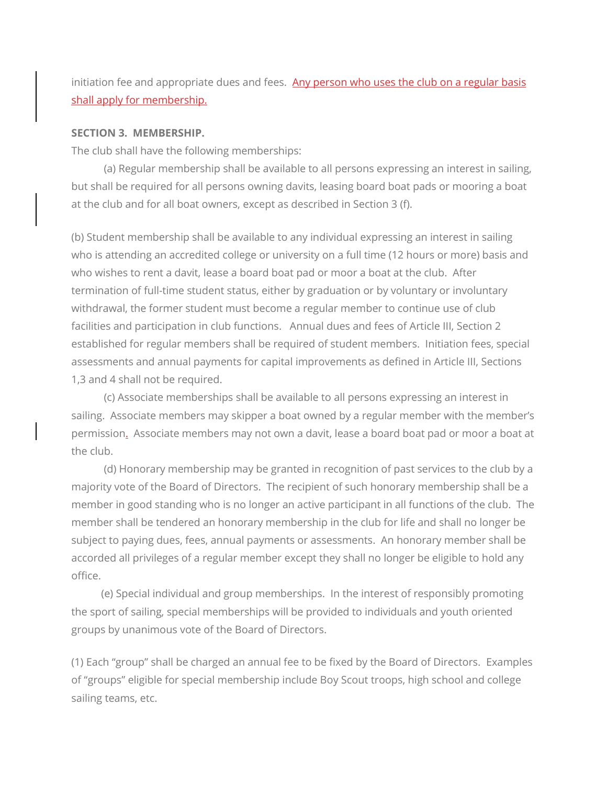initiation fee and appropriate dues and fees. Any person who uses the club on a regular basis shall apply for membership.

#### **SECTION 3. MEMBERSHIP.**

The club shall have the following memberships:

 (a) Regular membership shall be available to all persons expressing an interest in sailing, but shall be required for all persons owning davits, leasing board boat pads or mooring a boat at the club and for all boat owners, except as described in Section 3 (f).

(b) Student membership shall be available to any individual expressing an interest in sailing who is attending an accredited college or university on a full time (12 hours or more) basis and who wishes to rent a davit, lease a board boat pad or moor a boat at the club. After termination of full-time student status, either by graduation or by voluntary or involuntary withdrawal, the former student must become a regular member to continue use of club facilities and participation in club functions. Annual dues and fees of Article III, Section 2 established for regular members shall be required of student members. Initiation fees, special assessments and annual payments for capital improvements as defined in Article III, Sections 1,3 and 4 shall not be required.

 (c) Associate memberships shall be available to all persons expressing an interest in sailing. Associate members may skipper a boat owned by a regular member with the member's permission. Associate members may not own a davit, lease a board boat pad or moor a boat at the club.

 (d) Honorary membership may be granted in recognition of past services to the club by a majority vote of the Board of Directors. The recipient of such honorary membership shall be a member in good standing who is no longer an active participant in all functions of the club. The member shall be tendered an honorary membership in the club for life and shall no longer be subject to paying dues, fees, annual payments or assessments. An honorary member shall be accorded all privileges of a regular member except they shall no longer be eligible to hold any office.

 (e) Special individual and group memberships. In the interest of responsibly promoting the sport of sailing, special memberships will be provided to individuals and youth oriented groups by unanimous vote of the Board of Directors.

(1) Each "group" shall be charged an annual fee to be fixed by the Board of Directors. Examples of "groups" eligible for special membership include Boy Scout troops, high school and college sailing teams, etc.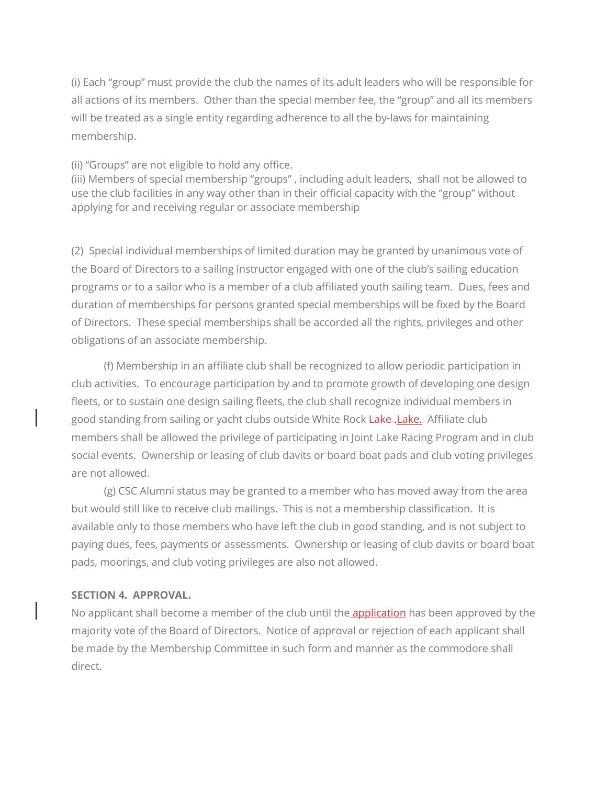(i) Each "group" must provide the club the names of its adult leaders who will be responsible for all actions of its members. Other than the special member fee, the "group" and all its members will be treated as a single entity regarding adherence to all the by-laws for maintaining membership.

(ii) "Groups" are not eligible to hold any office.

(iii) Members of special membership "groups" , including adult leaders, shall not be allowed to use the club facilities in any way other than in their official capacity with the "group" without applying for and receiving regular or associate membership

(2) Special individual memberships of limited duration may be granted by unanimous vote of the Board of Directors to a sailing instructor engaged with one of the club's sailing education programs or to a sailor who is a member of a club affiliated youth sailing team. Dues, fees and duration of memberships for persons granted special memberships will be fixed by the Board of Directors. These special memberships shall be accorded all the rights, privileges and other obligations of an associate membership.

 (f) Membership in an affiliate club shall be recognized to allow periodic participation in club activities. To encourage participation by and to promote growth of developing one design fleets, or to sustain one design sailing fleets, the club shall recognize individual members in good standing from sailing or yacht clubs outside White Rock Lake-Lake. Affiliate club members shall be allowed the privilege of participating in Joint Lake Racing Program and in club social events. Ownership or leasing of club davits or board boat pads and club voting privileges are not allowed.

 (g) CSC Alumni status may be granted to a member who has moved away from the area but would still like to receive club mailings. This is not a membership classification. It is available only to those members who have left the club in good standing, and is not subject to paying dues, fees, payments or assessments. Ownership or leasing of club davits or board boat pads, moorings, and club voting privileges are also not allowed.

#### **SECTION 4. APPROVAL.**

No applicant shall become a member of the club until the **application** has been approved by the majority vote of the Board of Directors. Notice of approval or rejection of each applicant shall be made by the Membership Committee in such form and manner as the commodore shall direct.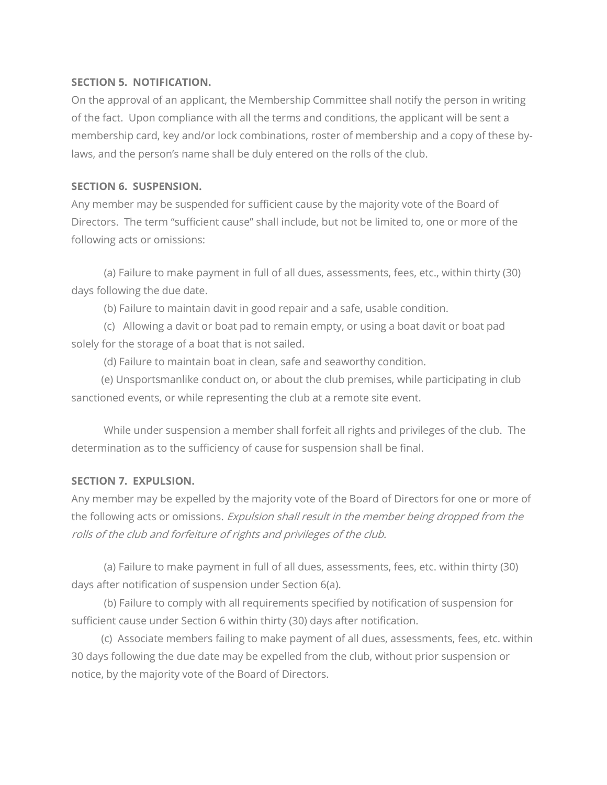### **SECTION 5. NOTIFICATION.**

On the approval of an applicant, the Membership Committee shall notify the person in writing of the fact. Upon compliance with all the terms and conditions, the applicant will be sent a membership card, key and/or lock combinations, roster of membership and a copy of these bylaws, and the person's name shall be duly entered on the rolls of the club.

## **SECTION 6. SUSPENSION.**

Any member may be suspended for sufficient cause by the majority vote of the Board of Directors. The term "sufficient cause" shall include, but not be limited to, one or more of the following acts or omissions:

 (a) Failure to make payment in full of all dues, assessments, fees, etc., within thirty (30) days following the due date.

(b) Failure to maintain davit in good repair and a safe, usable condition.

 (c) Allowing a davit or boat pad to remain empty, or using a boat davit or boat pad solely for the storage of a boat that is not sailed.

(d) Failure to maintain boat in clean, safe and seaworthy condition.

 (e) Unsportsmanlike conduct on, or about the club premises, while participating in club sanctioned events, or while representing the club at a remote site event.

 While under suspension a member shall forfeit all rights and privileges of the club. The determination as to the sufficiency of cause for suspension shall be final.

## **SECTION 7. EXPULSION.**

Any member may be expelled by the majority vote of the Board of Directors for one or more of the following acts or omissions. Expulsion shall result in the member being dropped from the rolls of the club and forfeiture of rights and privileges of the club.

 (a) Failure to make payment in full of all dues, assessments, fees, etc. within thirty (30) days after notification of suspension under Section 6(a).

 (b) Failure to comply with all requirements specified by notification of suspension for sufficient cause under Section 6 within thirty (30) days after notification.

 (c) Associate members failing to make payment of all dues, assessments, fees, etc. within 30 days following the due date may be expelled from the club, without prior suspension or notice, by the majority vote of the Board of Directors.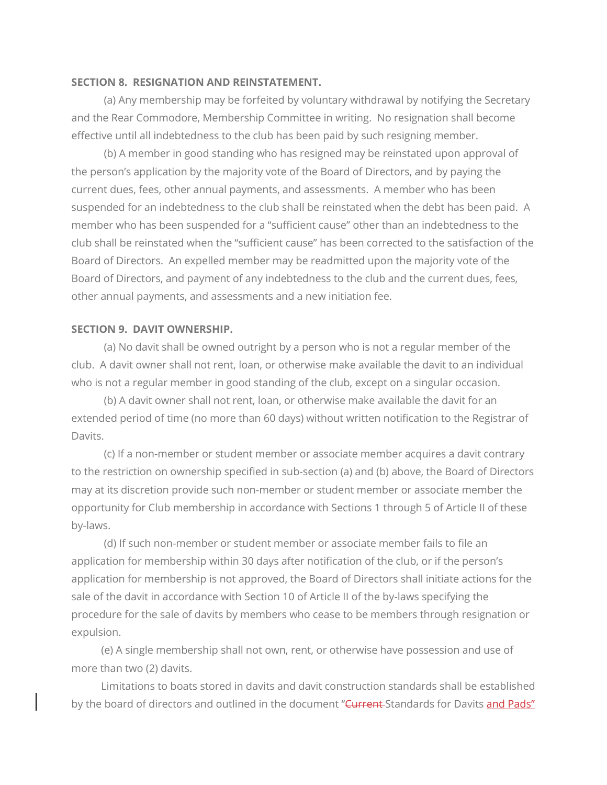#### **SECTION 8. RESIGNATION AND REINSTATEMENT.**

 (a) Any membership may be forfeited by voluntary withdrawal by notifying the Secretary and the Rear Commodore, Membership Committee in writing. No resignation shall become effective until all indebtedness to the club has been paid by such resigning member.

 (b) A member in good standing who has resigned may be reinstated upon approval of the person's application by the majority vote of the Board of Directors, and by paying the current dues, fees, other annual payments, and assessments. A member who has been suspended for an indebtedness to the club shall be reinstated when the debt has been paid. A member who has been suspended for a "sufficient cause" other than an indebtedness to the club shall be reinstated when the "sufficient cause" has been corrected to the satisfaction of the Board of Directors. An expelled member may be readmitted upon the majority vote of the Board of Directors, and payment of any indebtedness to the club and the current dues, fees, other annual payments, and assessments and a new initiation fee.

#### **SECTION 9. DAVIT OWNERSHIP.**

 (a) No davit shall be owned outright by a person who is not a regular member of the club. A davit owner shall not rent, loan, or otherwise make available the davit to an individual who is not a regular member in good standing of the club, except on a singular occasion.

 (b) A davit owner shall not rent, loan, or otherwise make available the davit for an extended period of time (no more than 60 days) without written notification to the Registrar of Davits.

 (c) If a non-member or student member or associate member acquires a davit contrary to the restriction on ownership specified in sub-section (a) and (b) above, the Board of Directors may at its discretion provide such non-member or student member or associate member the opportunity for Club membership in accordance with Sections 1 through 5 of Article II of these by-laws.

 (d) If such non-member or student member or associate member fails to file an application for membership within 30 days after notification of the club, or if the person's application for membership is not approved, the Board of Directors shall initiate actions for the sale of the davit in accordance with Section 10 of Article II of the by-laws specifying the procedure for the sale of davits by members who cease to be members through resignation or expulsion.

 (e) A single membership shall not own, rent, or otherwise have possession and use of more than two (2) davits.

 Limitations to boats stored in davits and davit construction standards shall be established by the board of directors and outlined in the document "Current Standards for Davits and Pads"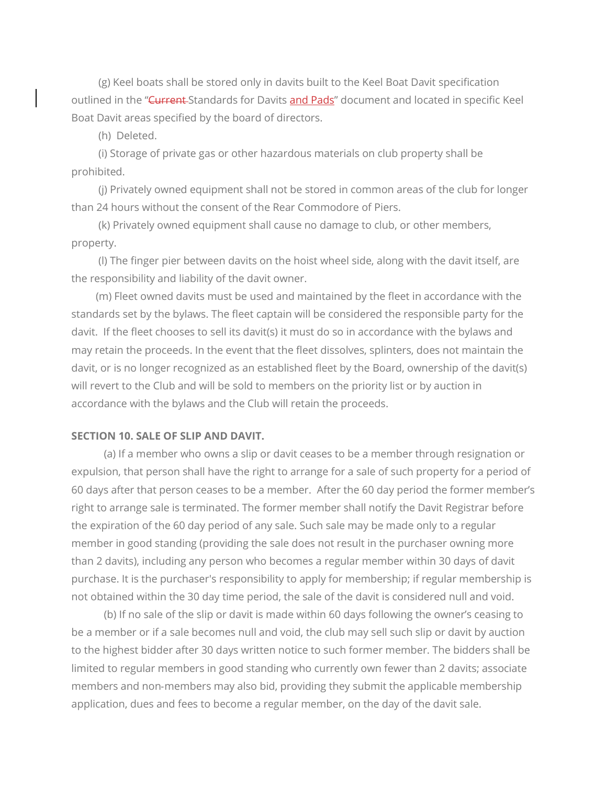(g) Keel boats shall be stored only in davits built to the Keel Boat Davit specification outlined in the "Current-Standards for Davits and Pads" document and located in specific Keel Boat Davit areas specified by the board of directors.

(h) Deleted.

 (i) Storage of private gas or other hazardous materials on club property shall be prohibited.

 (j) Privately owned equipment shall not be stored in common areas of the club for longer than 24 hours without the consent of the Rear Commodore of Piers.

 (k) Privately owned equipment shall cause no damage to club, or other members, property.

 (l) The finger pier between davits on the hoist wheel side, along with the davit itself, are the responsibility and liability of the davit owner.

(m) Fleet owned davits must be used and maintained by the fleet in accordance with the standards set by the bylaws. The fleet captain will be considered the responsible party for the davit. If the fleet chooses to sell its davit(s) it must do so in accordance with the bylaws and may retain the proceeds. In the event that the fleet dissolves, splinters, does not maintain the davit, or is no longer recognized as an established fleet by the Board, ownership of the davit(s) will revert to the Club and will be sold to members on the priority list or by auction in accordance with the bylaws and the Club will retain the proceeds.

#### **SECTION 10. SALE OF SLIP AND DAVIT.**

 (a) If a member who owns a slip or davit ceases to be a member through resignation or expulsion, that person shall have the right to arrange for a sale of such property for a period of 60 days after that person ceases to be a member. After the 60 day period the former member's right to arrange sale is terminated. The former member shall notify the Davit Registrar before the expiration of the 60 day period of any sale. Such sale may be made only to a regular member in good standing (providing the sale does not result in the purchaser owning more than 2 davits), including any person who becomes a regular member within 30 days of davit purchase. It is the purchaser's responsibility to apply for membership; if regular membership is not obtained within the 30 day time period, the sale of the davit is considered null and void.

 (b) If no sale of the slip or davit is made within 60 days following the owner's ceasing to be a member or if a sale becomes null and void, the club may sell such slip or davit by auction to the highest bidder after 30 days written notice to such former member. The bidders shall be limited to regular members in good standing who currently own fewer than 2 davits; associate members and non‐members may also bid, providing they submit the applicable membership application, dues and fees to become a regular member, on the day of the davit sale.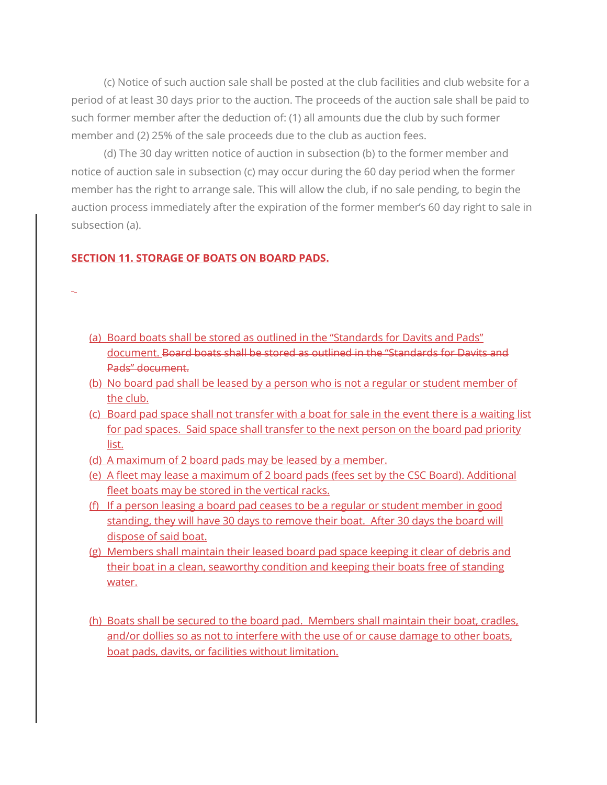(c) Notice of such auction sale shall be posted at the club facilities and club website for a period of at least 30 days prior to the auction. The proceeds of the auction sale shall be paid to such former member after the deduction of: (1) all amounts due the club by such former member and (2) 25% of the sale proceeds due to the club as auction fees.

 (d) The 30 day written notice of auction in subsection (b) to the former member and notice of auction sale in subsection (c) may occur during the 60 day period when the former member has the right to arrange sale. This will allow the club, if no sale pending, to begin the auction process immediately after the expiration of the former member's 60 day right to sale in subsection (a).

#### **SECTION 11. STORAGE OF BOATS ON BOARD PADS.**

- 
- (a) Board boats shall be stored as outlined in the "Standards for Davits and Pads" document. Board boats shall be stored as outlined in the "Standards for Davits and Pads" document.
- (b) No board pad shall be leased by a person who is not a regular or student member of the club.
- (c) Board pad space shall not transfer with a boat for sale in the event there is a waiting list for pad spaces. Said space shall transfer to the next person on the board pad priority list.
- (d) A maximum of 2 board pads may be leased by a member.
- (e) A fleet may lease a maximum of 2 board pads (fees set by the CSC Board). Additional fleet boats may be stored in the vertical racks.
- (f) If a person leasing a board pad ceases to be a regular or student member in good standing, they will have 30 days to remove their boat. After 30 days the board will dispose of said boat.
- (g) Members shall maintain their leased board pad space keeping it clear of debris and their boat in a clean, seaworthy condition and keeping their boats free of standing water.
- (h) Boats shall be secured to the board pad. Members shall maintain their boat, cradles, and/or dollies so as not to interfere with the use of or cause damage to other boats, boat pads, davits, or facilities without limitation.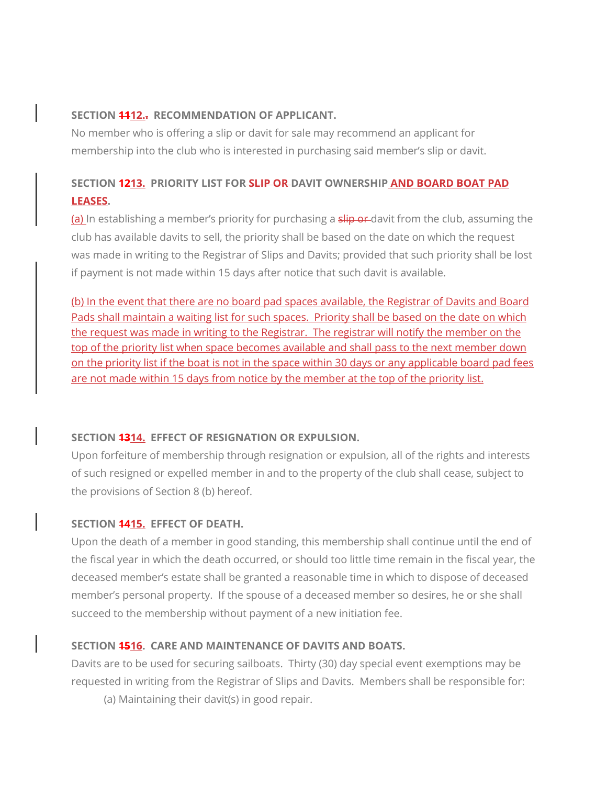## **SECTION 1112.. RECOMMENDATION OF APPLICANT.**

No member who is offering a slip or davit for sale may recommend an applicant for membership into the club who is interested in purchasing said member's slip or davit.

## **SECTION 1213. PRIORITY LIST FOR SLIP OR DAVIT OWNERSHIP AND BOARD BOAT PAD LEASES.**

(a) In establishing a member's priority for purchasing a slip or davit from the club, assuming the club has available davits to sell, the priority shall be based on the date on which the request was made in writing to the Registrar of Slips and Davits; provided that such priority shall be lost if payment is not made within 15 days after notice that such davit is available.

(b) In the event that there are no board pad spaces available, the Registrar of Davits and Board Pads shall maintain a waiting list for such spaces. Priority shall be based on the date on which the request was made in writing to the Registrar. The registrar will notify the member on the top of the priority list when space becomes available and shall pass to the next member down on the priority list if the boat is not in the space within 30 days or any applicable board pad fees are not made within 15 days from notice by the member at the top of the priority list.

## **SECTION 1314. EFFECT OF RESIGNATION OR EXPULSION.**

Upon forfeiture of membership through resignation or expulsion, all of the rights and interests of such resigned or expelled member in and to the property of the club shall cease, subject to the provisions of Section 8 (b) hereof.

#### **SECTION 1415. EFFECT OF DEATH.**

Upon the death of a member in good standing, this membership shall continue until the end of the fiscal year in which the death occurred, or should too little time remain in the fiscal year, the deceased member's estate shall be granted a reasonable time in which to dispose of deceased member's personal property. If the spouse of a deceased member so desires, he or she shall succeed to the membership without payment of a new initiation fee.

## **SECTION 1516. CARE AND MAINTENANCE OF DAVITS AND BOATS.**

Davits are to be used for securing sailboats. Thirty (30) day special event exemptions may be requested in writing from the Registrar of Slips and Davits. Members shall be responsible for:

(a) Maintaining their davit(s) in good repair.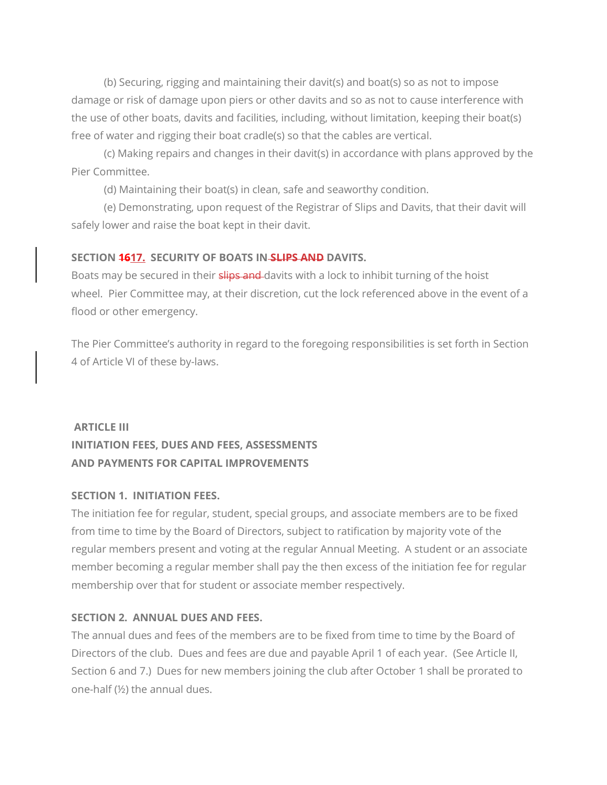(b) Securing, rigging and maintaining their davit(s) and boat(s) so as not to impose damage or risk of damage upon piers or other davits and so as not to cause interference with the use of other boats, davits and facilities, including, without limitation, keeping their boat(s) free of water and rigging their boat cradle(s) so that the cables are vertical.

 (c) Making repairs and changes in their davit(s) in accordance with plans approved by the Pier Committee.

(d) Maintaining their boat(s) in clean, safe and seaworthy condition.

 (e) Demonstrating, upon request of the Registrar of Slips and Davits, that their davit will safely lower and raise the boat kept in their davit.

#### **SECTION 1617. SECURITY OF BOATS IN SLIPS AND DAVITS.**

Boats may be secured in their slips and davits with a lock to inhibit turning of the hoist wheel. Pier Committee may, at their discretion, cut the lock referenced above in the event of a flood or other emergency.

The Pier Committee's authority in regard to the foregoing responsibilities is set forth in Section 4 of Article VI of these by-laws.

## **ARTICLE III INITIATION FEES, DUES AND FEES, ASSESSMENTS AND PAYMENTS FOR CAPITAL IMPROVEMENTS**

## **SECTION 1. INITIATION FEES.**

The initiation fee for regular, student, special groups, and associate members are to be fixed from time to time by the Board of Directors, subject to ratification by majority vote of the regular members present and voting at the regular Annual Meeting. A student or an associate member becoming a regular member shall pay the then excess of the initiation fee for regular membership over that for student or associate member respectively.

## **SECTION 2. ANNUAL DUES AND FEES.**

The annual dues and fees of the members are to be fixed from time to time by the Board of Directors of the club. Dues and fees are due and payable April 1 of each year. (See Article II, Section 6 and 7.) Dues for new members joining the club after October 1 shall be prorated to one-half (½) the annual dues.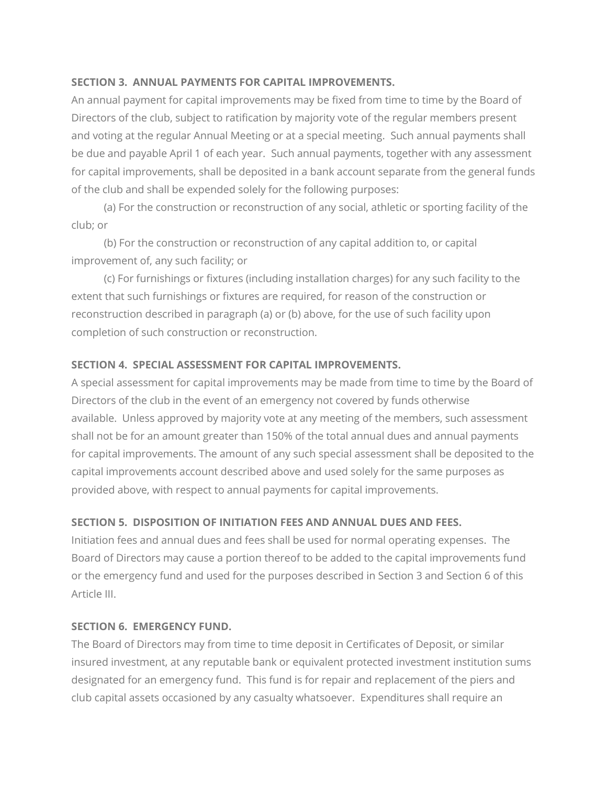## **SECTION 3. ANNUAL PAYMENTS FOR CAPITAL IMPROVEMENTS.**

An annual payment for capital improvements may be fixed from time to time by the Board of Directors of the club, subject to ratification by majority vote of the regular members present and voting at the regular Annual Meeting or at a special meeting. Such annual payments shall be due and payable April 1 of each year. Such annual payments, together with any assessment for capital improvements, shall be deposited in a bank account separate from the general funds of the club and shall be expended solely for the following purposes:

 (a) For the construction or reconstruction of any social, athletic or sporting facility of the club; or

 (b) For the construction or reconstruction of any capital addition to, or capital improvement of, any such facility; or

 (c) For furnishings or fixtures (including installation charges) for any such facility to the extent that such furnishings or fixtures are required, for reason of the construction or reconstruction described in paragraph (a) or (b) above, for the use of such facility upon completion of such construction or reconstruction.

## **SECTION 4. SPECIAL ASSESSMENT FOR CAPITAL IMPROVEMENTS.**

A special assessment for capital improvements may be made from time to time by the Board of Directors of the club in the event of an emergency not covered by funds otherwise available. Unless approved by majority vote at any meeting of the members, such assessment shall not be for an amount greater than 150% of the total annual dues and annual payments for capital improvements. The amount of any such special assessment shall be deposited to the capital improvements account described above and used solely for the same purposes as provided above, with respect to annual payments for capital improvements.

#### **SECTION 5. DISPOSITION OF INITIATION FEES AND ANNUAL DUES AND FEES.**

Initiation fees and annual dues and fees shall be used for normal operating expenses. The Board of Directors may cause a portion thereof to be added to the capital improvements fund or the emergency fund and used for the purposes described in Section 3 and Section 6 of this Article III.

#### **SECTION 6. EMERGENCY FUND.**

The Board of Directors may from time to time deposit in Certificates of Deposit, or similar insured investment, at any reputable bank or equivalent protected investment institution sums designated for an emergency fund. This fund is for repair and replacement of the piers and club capital assets occasioned by any casualty whatsoever. Expenditures shall require an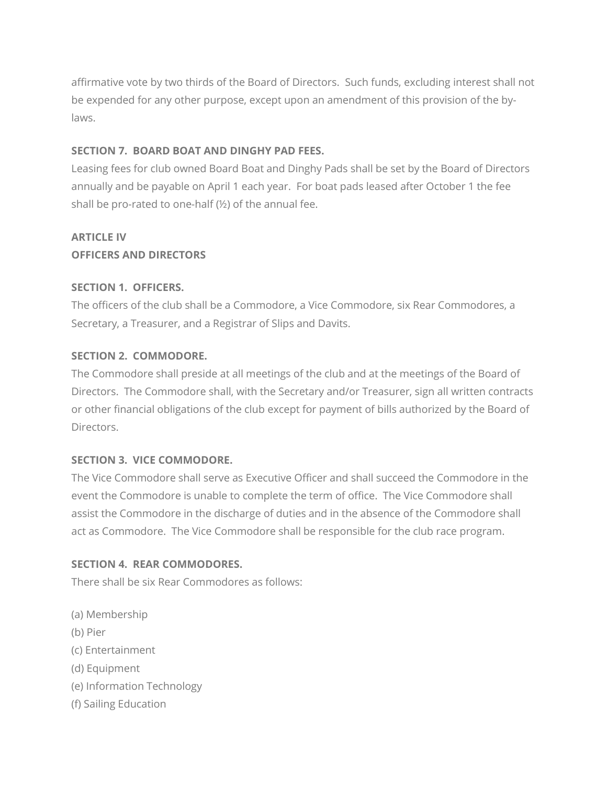affirmative vote by two thirds of the Board of Directors. Such funds, excluding interest shall not be expended for any other purpose, except upon an amendment of this provision of the bylaws.

## **SECTION 7. BOARD BOAT AND DINGHY PAD FEES.**

Leasing fees for club owned Board Boat and Dinghy Pads shall be set by the Board of Directors annually and be payable on April 1 each year. For boat pads leased after October 1 the fee shall be pro-rated to one-half (½) of the annual fee.

# **ARTICLE IV**

## **OFFICERS AND DIRECTORS**

## **SECTION 1. OFFICERS.**

The officers of the club shall be a Commodore, a Vice Commodore, six Rear Commodores, a Secretary, a Treasurer, and a Registrar of Slips and Davits.

## **SECTION 2. COMMODORE.**

The Commodore shall preside at all meetings of the club and at the meetings of the Board of Directors. The Commodore shall, with the Secretary and/or Treasurer, sign all written contracts or other financial obligations of the club except for payment of bills authorized by the Board of Directors.

## **SECTION 3. VICE COMMODORE.**

The Vice Commodore shall serve as Executive Officer and shall succeed the Commodore in the event the Commodore is unable to complete the term of office. The Vice Commodore shall assist the Commodore in the discharge of duties and in the absence of the Commodore shall act as Commodore. The Vice Commodore shall be responsible for the club race program.

## **SECTION 4. REAR COMMODORES.**

There shall be six Rear Commodores as follows:

(a) Membership (b) Pier (c) Entertainment (d) Equipment (e) Information Technology (f) Sailing Education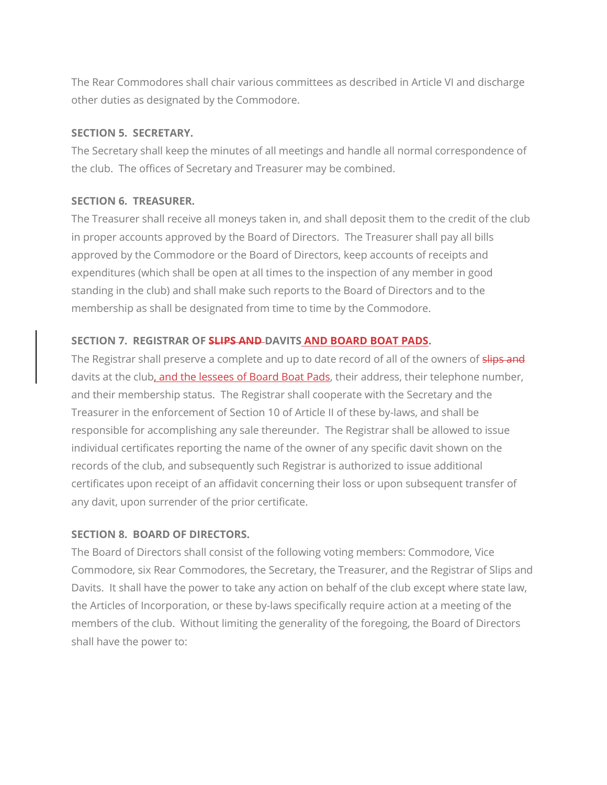The Rear Commodores shall chair various committees as described in Article VI and discharge other duties as designated by the Commodore.

#### **SECTION 5. SECRETARY.**

The Secretary shall keep the minutes of all meetings and handle all normal correspondence of the club. The offices of Secretary and Treasurer may be combined.

## **SECTION 6. TREASURER.**

The Treasurer shall receive all moneys taken in, and shall deposit them to the credit of the club in proper accounts approved by the Board of Directors. The Treasurer shall pay all bills approved by the Commodore or the Board of Directors, keep accounts of receipts and expenditures (which shall be open at all times to the inspection of any member in good standing in the club) and shall make such reports to the Board of Directors and to the membership as shall be designated from time to time by the Commodore.

## **SECTION 7. REGISTRAR OF SLIPS AND DAVITS AND BOARD BOAT PADS.**

The Registrar shall preserve a complete and up to date record of all of the owners of slips and davits at the club, and the lessees of Board Boat Pads, their address, their telephone number, and their membership status. The Registrar shall cooperate with the Secretary and the Treasurer in the enforcement of Section 10 of Article II of these by-laws, and shall be responsible for accomplishing any sale thereunder. The Registrar shall be allowed to issue individual certificates reporting the name of the owner of any specific davit shown on the records of the club, and subsequently such Registrar is authorized to issue additional certificates upon receipt of an affidavit concerning their loss or upon subsequent transfer of any davit, upon surrender of the prior certificate.

## **SECTION 8. BOARD OF DIRECTORS.**

The Board of Directors shall consist of the following voting members: Commodore, Vice Commodore, six Rear Commodores, the Secretary, the Treasurer, and the Registrar of Slips and Davits. It shall have the power to take any action on behalf of the club except where state law, the Articles of Incorporation, or these by-laws specifically require action at a meeting of the members of the club. Without limiting the generality of the foregoing, the Board of Directors shall have the power to: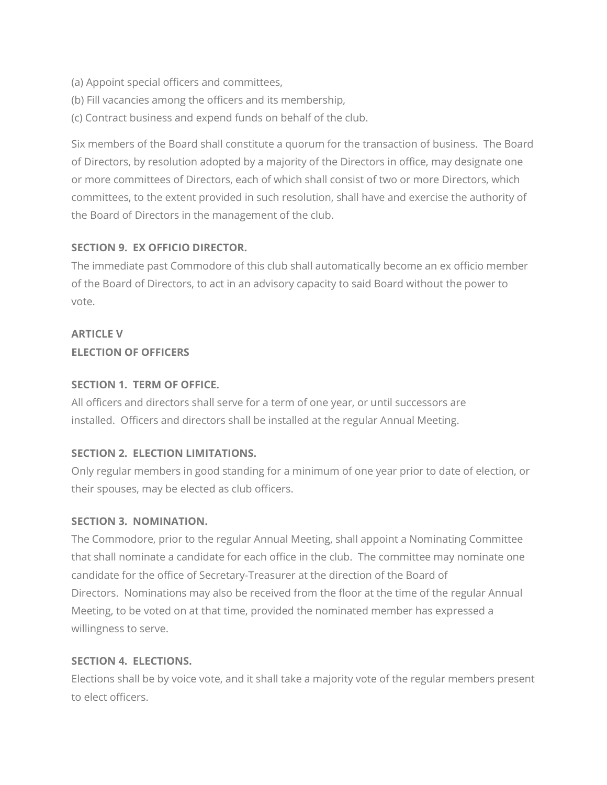- (a) Appoint special officers and committees,
- (b) Fill vacancies among the officers and its membership,
- (c) Contract business and expend funds on behalf of the club.

Six members of the Board shall constitute a quorum for the transaction of business. The Board of Directors, by resolution adopted by a majority of the Directors in office, may designate one or more committees of Directors, each of which shall consist of two or more Directors, which committees, to the extent provided in such resolution, shall have and exercise the authority of the Board of Directors in the management of the club.

## **SECTION 9. EX OFFICIO DIRECTOR.**

The immediate past Commodore of this club shall automatically become an ex officio member of the Board of Directors, to act in an advisory capacity to said Board without the power to vote.

## **ARTICLE V ELECTION OF OFFICERS**

## **SECTION 1. TERM OF OFFICE.**

All officers and directors shall serve for a term of one year, or until successors are installed. Officers and directors shall be installed at the regular Annual Meeting.

## **SECTION 2. ELECTION LIMITATIONS.**

Only regular members in good standing for a minimum of one year prior to date of election, or their spouses, may be elected as club officers.

## **SECTION 3. NOMINATION.**

The Commodore, prior to the regular Annual Meeting, shall appoint a Nominating Committee that shall nominate a candidate for each office in the club. The committee may nominate one candidate for the office of Secretary-Treasurer at the direction of the Board of Directors. Nominations may also be received from the floor at the time of the regular Annual Meeting, to be voted on at that time, provided the nominated member has expressed a willingness to serve.

## **SECTION 4. ELECTIONS.**

Elections shall be by voice vote, and it shall take a majority vote of the regular members present to elect officers.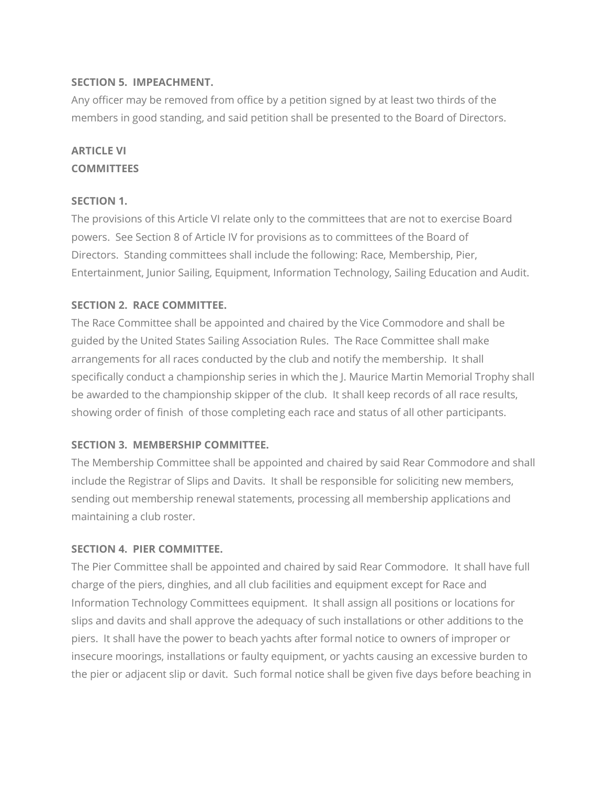## **SECTION 5. IMPEACHMENT.**

Any officer may be removed from office by a petition signed by at least two thirds of the members in good standing, and said petition shall be presented to the Board of Directors.

## **ARTICLE VI COMMITTEES**

## **SECTION 1.**

The provisions of this Article VI relate only to the committees that are not to exercise Board powers. See Section 8 of Article IV for provisions as to committees of the Board of Directors. Standing committees shall include the following: Race, Membership, Pier, Entertainment, Junior Sailing, Equipment, Information Technology, Sailing Education and Audit.

## **SECTION 2. RACE COMMITTEE.**

The Race Committee shall be appointed and chaired by the Vice Commodore and shall be guided by the United States Sailing Association Rules. The Race Committee shall make arrangements for all races conducted by the club and notify the membership. It shall specifically conduct a championship series in which the J. Maurice Martin Memorial Trophy shall be awarded to the championship skipper of the club. It shall keep records of all race results, showing order of finish of those completing each race and status of all other participants.

#### **SECTION 3. MEMBERSHIP COMMITTEE.**

The Membership Committee shall be appointed and chaired by said Rear Commodore and shall include the Registrar of Slips and Davits. It shall be responsible for soliciting new members, sending out membership renewal statements, processing all membership applications and maintaining a club roster.

#### **SECTION 4. PIER COMMITTEE.**

The Pier Committee shall be appointed and chaired by said Rear Commodore. It shall have full charge of the piers, dinghies, and all club facilities and equipment except for Race and Information Technology Committees equipment. It shall assign all positions or locations for slips and davits and shall approve the adequacy of such installations or other additions to the piers. It shall have the power to beach yachts after formal notice to owners of improper or insecure moorings, installations or faulty equipment, or yachts causing an excessive burden to the pier or adjacent slip or davit. Such formal notice shall be given five days before beaching in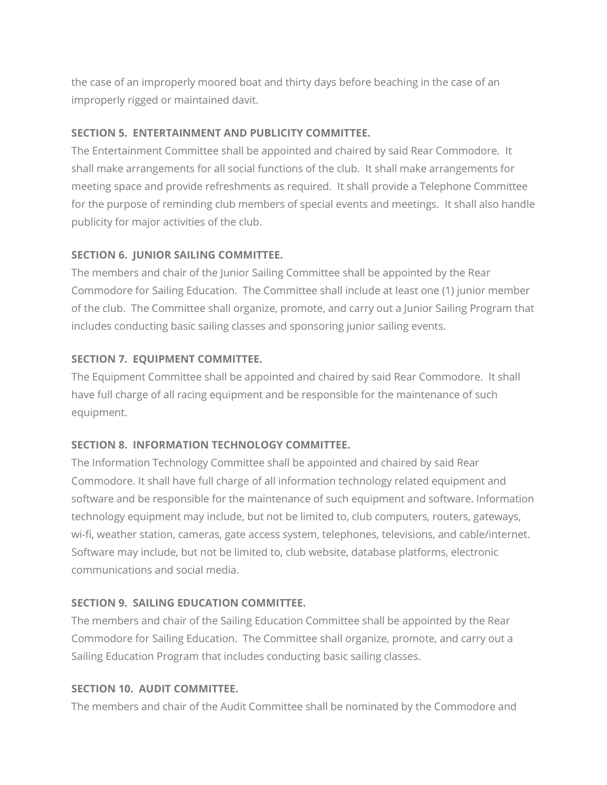the case of an improperly moored boat and thirty days before beaching in the case of an improperly rigged or maintained davit.

## **SECTION 5. ENTERTAINMENT AND PUBLICITY COMMITTEE.**

The Entertainment Committee shall be appointed and chaired by said Rear Commodore. It shall make arrangements for all social functions of the club. It shall make arrangements for meeting space and provide refreshments as required. It shall provide a Telephone Committee for the purpose of reminding club members of special events and meetings. It shall also handle publicity for major activities of the club.

## **SECTION 6. JUNIOR SAILING COMMITTEE.**

The members and chair of the Junior Sailing Committee shall be appointed by the Rear Commodore for Sailing Education. The Committee shall include at least one (1) junior member of the club. The Committee shall organize, promote, and carry out a Junior Sailing Program that includes conducting basic sailing classes and sponsoring junior sailing events.

## **SECTION 7. EQUIPMENT COMMITTEE.**

The Equipment Committee shall be appointed and chaired by said Rear Commodore. It shall have full charge of all racing equipment and be responsible for the maintenance of such equipment.

## **SECTION 8. INFORMATION TECHNOLOGY COMMITTEE.**

The Information Technology Committee shall be appointed and chaired by said Rear Commodore. It shall have full charge of all information technology related equipment and software and be responsible for the maintenance of such equipment and software. Information technology equipment may include, but not be limited to, club computers, routers, gateways, wi-fi, weather station, cameras, gate access system, telephones, televisions, and cable/internet. Software may include, but not be limited to, club website, database platforms, electronic communications and social media.

## **SECTION 9. SAILING EDUCATION COMMITTEE.**

The members and chair of the Sailing Education Committee shall be appointed by the Rear Commodore for Sailing Education. The Committee shall organize, promote, and carry out a Sailing Education Program that includes conducting basic sailing classes.

## **SECTION 10. AUDIT COMMITTEE.**

The members and chair of the Audit Committee shall be nominated by the Commodore and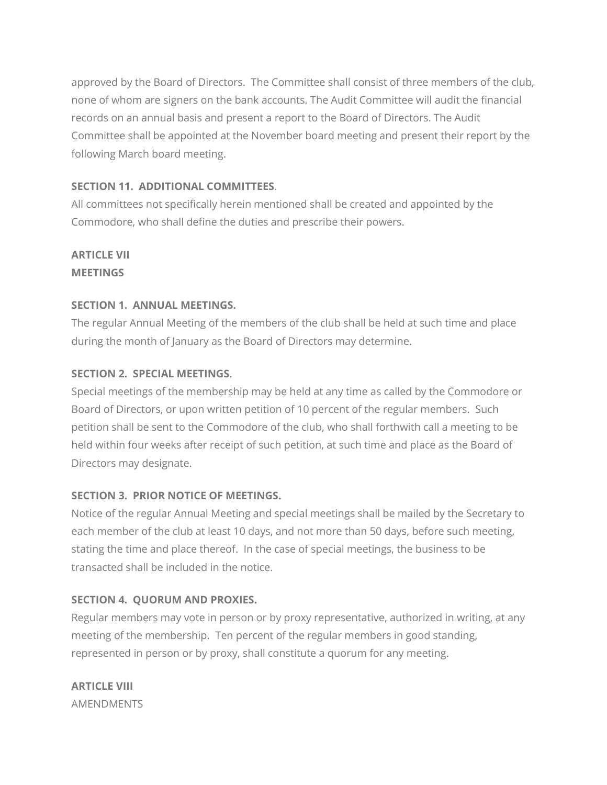approved by the Board of Directors. The Committee shall consist of three members of the club, none of whom are signers on the bank accounts. The Audit Committee will audit the financial records on an annual basis and present a report to the Board of Directors. The Audit Committee shall be appointed at the November board meeting and present their report by the following March board meeting.

## **SECTION 11. ADDITIONAL COMMITTEES**.

All committees not specifically herein mentioned shall be created and appointed by the Commodore, who shall define the duties and prescribe their powers.

## **ARTICLE VII MEETINGS**

## **SECTION 1. ANNUAL MEETINGS.**

The regular Annual Meeting of the members of the club shall be held at such time and place during the month of January as the Board of Directors may determine.

## **SECTION 2. SPECIAL MEETINGS**.

Special meetings of the membership may be held at any time as called by the Commodore or Board of Directors, or upon written petition of 10 percent of the regular members. Such petition shall be sent to the Commodore of the club, who shall forthwith call a meeting to be held within four weeks after receipt of such petition, at such time and place as the Board of Directors may designate.

## **SECTION 3. PRIOR NOTICE OF MEETINGS.**

Notice of the regular Annual Meeting and special meetings shall be mailed by the Secretary to each member of the club at least 10 days, and not more than 50 days, before such meeting, stating the time and place thereof. In the case of special meetings, the business to be transacted shall be included in the notice.

## **SECTION 4. QUORUM AND PROXIES.**

Regular members may vote in person or by proxy representative, authorized in writing, at any meeting of the membership. Ten percent of the regular members in good standing, represented in person or by proxy, shall constitute a quorum for any meeting.

**ARTICLE VIII** AMENDMENTS